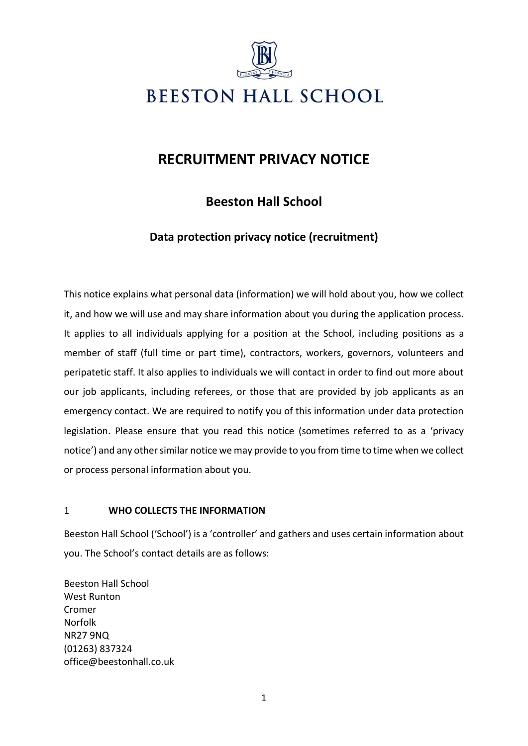

# **RECRUITMENT PRIVACY NOTICE**

# **Beeston Hall School**

**Data protection privacy notice (recruitment)**

This notice explains what personal data (information) we will hold about you, how we collect it, and how we will use and may share information about you during the application process. It applies to all individuals applying for a position at the School, including positions as a member of staff (full time or part time), contractors, workers, governors, volunteers and peripatetic staff. It also applies to individuals we will contact in order to find out more about our job applicants, including referees, or those that are provided by job applicants as an emergency contact. We are required to notify you of this information under data protection legislation. Please ensure that you read this notice (sometimes referred to as a 'privacy notice') and any other similar notice we may provide to you from time to time when we collect or process personal information about you.

### 1 **WHO COLLECTS THE INFORMATION**

Beeston Hall School ('School') is a 'controller' and gathers and uses certain information about you. The School's contact details are as follows:

Beeston Hall School West Runton Cromer Norfolk NR27 9NQ (01263) 837324 office@beestonhall.co.uk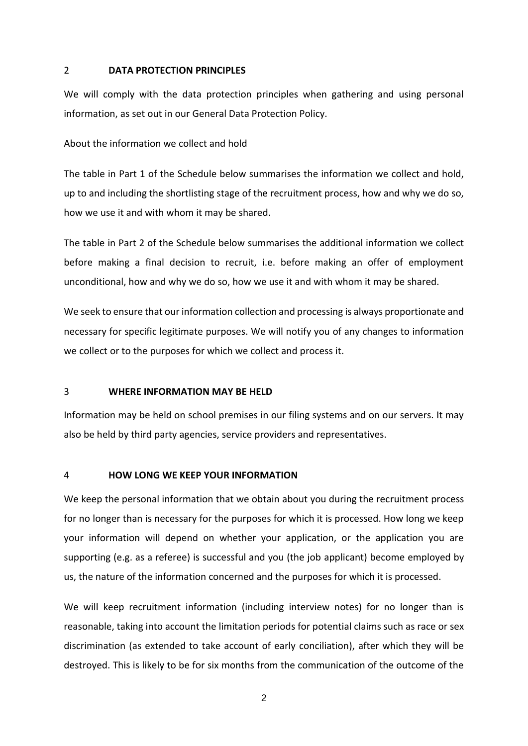#### 2 **DATA PROTECTION PRINCIPLES**

We will comply with the data protection principles when gathering and using personal information, as set out in our General Data Protection Policy.

About the information we collect and hold

The table in [Part 1](#page-4-0) of the Schedule below summarises the information we collect and hold, up to and including the shortlisting stage of the recruitment process, how and why we do so, how we use it and with whom it may be shared.

The table in [Part 2](#page-5-0) of the Schedule below summarises the additional information we collect before making a final decision to recruit, i.e. before making an offer of employment unconditional, how and why we do so, how we use it and with whom it may be shared.

We seek to ensure that our information collection and processing is always proportionate and necessary for specific legitimate purposes. We will notify you of any changes to information we collect or to the purposes for which we collect and process it.

#### 3 **WHERE INFORMATION MAY BE HELD**

Information may be held on school premises in our filing systems and on our servers. It may also be held by third party agencies, service providers and representatives.

#### 4 **HOW LONG WE KEEP YOUR INFORMATION**

We keep the personal information that we obtain about you during the recruitment process for no longer than is necessary for the purposes for which it is processed. How long we keep your information will depend on whether your application, or the application you are supporting (e.g. as a referee) is successful and you (the job applicant) become employed by us, the nature of the information concerned and the purposes for which it is processed.

We will keep recruitment information (including interview notes) for no longer than is reasonable, taking into account the limitation periods for potential claims such as race or sex discrimination (as extended to take account of early conciliation), after which they will be destroyed. This is likely to be for six months from the communication of the outcome of the

2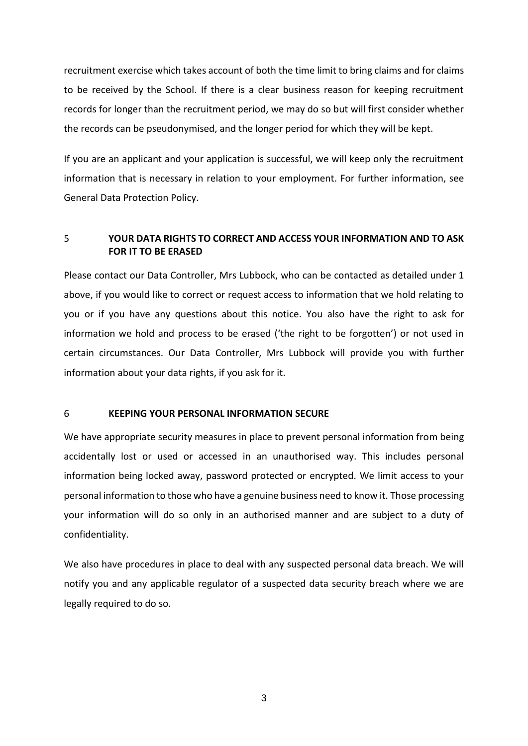recruitment exercise which takes account of both the time limit to bring claims and for claims to be received by the School. If there is a clear business reason for keeping recruitment records for longer than the recruitment period, we may do so but will first consider whether the records can be pseudonymised, and the longer period for which they will be kept.

If you are an applicant and your application is successful, we will keep only the recruitment information that is necessary in relation to your employment. For further information, see General Data Protection Policy.

5 **YOUR DATA RIGHTS TO CORRECT AND ACCESS YOUR INFORMATION AND TO ASK FOR IT TO BE ERASED**

Please contact our Data Controller, Mrs Lubbock, who can be contacted as detailed under 1 above, if you would like to correct or request access to information that we hold relating to you or if you have any questions about this notice. You also have the right to ask for information we hold and process to be erased ('the right to be forgotten') or not used in certain circumstances. Our Data Controller, Mrs Lubbock will provide you with further information about your data rights, if you ask for it.

#### 6 **KEEPING YOUR PERSONAL INFORMATION SECURE**

We have appropriate security measures in place to prevent personal information from being accidentally lost or used or accessed in an unauthorised way. This includes personal information being locked away, password protected or encrypted. We limit access to your personal information to those who have a genuine business need to know it. Those processing your information will do so only in an authorised manner and are subject to a duty of confidentiality.

We also have procedures in place to deal with any suspected personal data breach. We will notify you and any applicable regulator of a suspected data security breach where we are legally required to do so.

3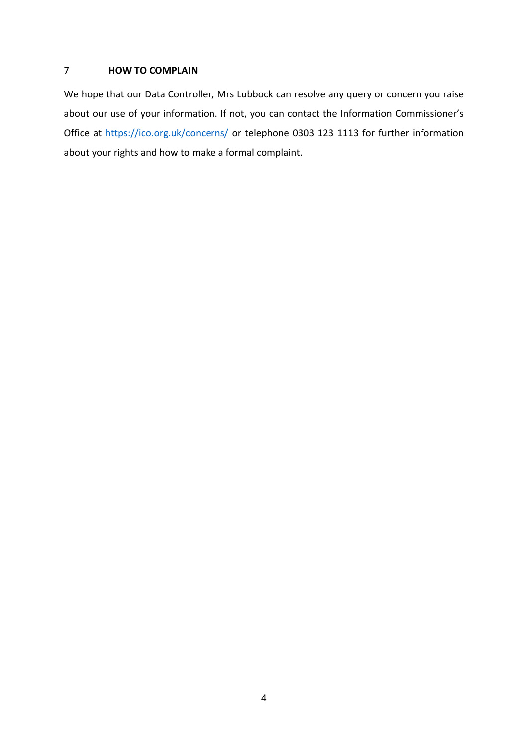### 7 **HOW TO COMPLAIN**

We hope that our Data Controller, Mrs Lubbock can resolve any query or concern you raise about our use of your information. If not, you can contact the Information Commissioner's Office at https://ico.org.uk/concerns/ or telephone 0303 123 1113 for further information about your rights and how to make a formal complaint.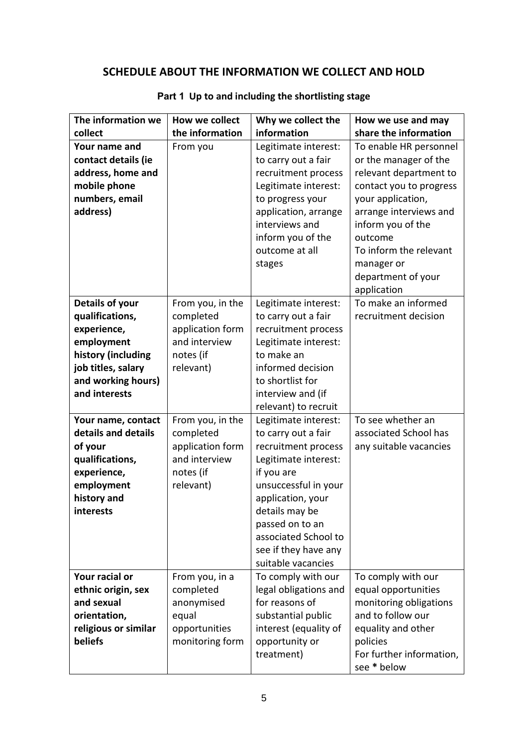### **SCHEDULE ABOUT THE INFORMATION WE COLLECT AND HOLD**

| The information we                                                                                                                                 | How we collect                                                                               | Why we collect the                                                                                                                                                                                                                                               | How we use and may                                                                                                                                                                                                          |
|----------------------------------------------------------------------------------------------------------------------------------------------------|----------------------------------------------------------------------------------------------|------------------------------------------------------------------------------------------------------------------------------------------------------------------------------------------------------------------------------------------------------------------|-----------------------------------------------------------------------------------------------------------------------------------------------------------------------------------------------------------------------------|
| collect                                                                                                                                            | the information                                                                              | information                                                                                                                                                                                                                                                      | share the information                                                                                                                                                                                                       |
| Your name and<br>contact details (ie<br>address, home and<br>mobile phone<br>numbers, email<br>address)                                            | From you                                                                                     | Legitimate interest:<br>to carry out a fair<br>recruitment process<br>Legitimate interest:<br>to progress your<br>application, arrange<br>interviews and<br>inform you of the<br>outcome at all<br>stages                                                        | To enable HR personnel<br>or the manager of the<br>relevant department to<br>contact you to progress<br>your application,<br>arrange interviews and<br>inform you of the<br>outcome<br>To inform the relevant<br>manager or |
|                                                                                                                                                    |                                                                                              |                                                                                                                                                                                                                                                                  | department of your<br>application                                                                                                                                                                                           |
| Details of your<br>qualifications,<br>experience,<br>employment<br>history (including<br>job titles, salary<br>and working hours)<br>and interests | From you, in the<br>completed<br>application form<br>and interview<br>notes (if<br>relevant) | Legitimate interest:<br>to carry out a fair<br>recruitment process<br>Legitimate interest:<br>to make an<br>informed decision<br>to shortlist for<br>interview and (if<br>relevant) to recruit                                                                   | To make an informed<br>recruitment decision                                                                                                                                                                                 |
| Your name, contact<br>details and details<br>of your<br>qualifications,<br>experience,<br>employment<br>history and<br>interests                   | From you, in the<br>completed<br>application form<br>and interview<br>notes (if<br>relevant) | Legitimate interest:<br>to carry out a fair<br>recruitment process<br>Legitimate interest:<br>if you are<br>unsuccessful in your<br>application, your<br>details may be<br>passed on to an<br>associated School to<br>see if they have any<br>suitable vacancies | To see whether an<br>associated School has<br>any suitable vacancies                                                                                                                                                        |
| Your racial or<br>ethnic origin, sex<br>and sexual<br>orientation,<br>religious or similar<br>beliefs                                              | From you, in a<br>completed<br>anonymised<br>equal<br>opportunities<br>monitoring form       | To comply with our<br>legal obligations and<br>for reasons of<br>substantial public<br>interest (equality of<br>opportunity or<br>treatment)                                                                                                                     | To comply with our<br>equal opportunities<br>monitoring obligations<br>and to follow our<br>equality and other<br>policies<br>For further information,<br>see * below                                                       |

## <span id="page-4-0"></span>**Part 1 Up to and including the shortlisting stage**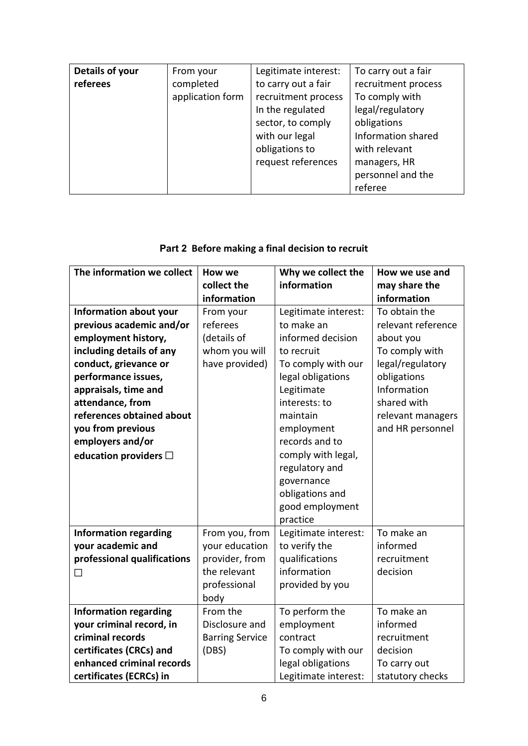| Details of your<br>referees | From your<br>completed<br>application form | Legitimate interest:<br>to carry out a fair<br>recruitment process<br>In the regulated<br>sector, to comply<br>with our legal<br>obligations to<br>request references | To carry out a fair<br>recruitment process<br>To comply with<br>legal/regulatory<br>obligations<br>Information shared<br>with relevant<br>managers, HR<br>personnel and the |
|-----------------------------|--------------------------------------------|-----------------------------------------------------------------------------------------------------------------------------------------------------------------------|-----------------------------------------------------------------------------------------------------------------------------------------------------------------------------|
|                             |                                            |                                                                                                                                                                       | referee                                                                                                                                                                     |

## <span id="page-5-0"></span>**Part 2 Before making a final decision to recruit**

| The information we collect    | How we                 | Why we collect the   | How we use and     |
|-------------------------------|------------------------|----------------------|--------------------|
|                               | collect the            | information          | may share the      |
|                               | information            |                      | information        |
| <b>Information about your</b> | From your              | Legitimate interest: | To obtain the      |
| previous academic and/or      | referees               | to make an           | relevant reference |
| employment history,           | (details of            | informed decision    | about you          |
| including details of any      | whom you will          | to recruit           | To comply with     |
| conduct, grievance or         | have provided)         | To comply with our   | legal/regulatory   |
| performance issues,           |                        | legal obligations    | obligations        |
| appraisals, time and          |                        | Legitimate           | Information        |
| attendance, from              |                        | interests: to        | shared with        |
| references obtained about     |                        | maintain             | relevant managers  |
| you from previous             |                        | employment           | and HR personnel   |
| employers and/or              |                        | records and to       |                    |
| education providers $\square$ |                        | comply with legal,   |                    |
|                               |                        | regulatory and       |                    |
|                               |                        | governance           |                    |
|                               |                        | obligations and      |                    |
|                               |                        | good employment      |                    |
|                               |                        | practice             |                    |
| <b>Information regarding</b>  | From you, from         | Legitimate interest: | To make an         |
| your academic and             | your education         | to verify the        | informed           |
| professional qualifications   | provider, from         | qualifications       | recruitment        |
| ΙI                            | the relevant           | information          | decision           |
|                               | professional           | provided by you      |                    |
|                               | body                   |                      |                    |
| <b>Information regarding</b>  | From the               | To perform the       | To make an         |
| your criminal record, in      | Disclosure and         | employment           | informed           |
| criminal records              | <b>Barring Service</b> | contract             | recruitment        |
| certificates (CRCs) and       | (DBS)                  | To comply with our   | decision           |
| enhanced criminal records     |                        | legal obligations    | To carry out       |
| certificates (ECRCs) in       |                        | Legitimate interest: | statutory checks   |